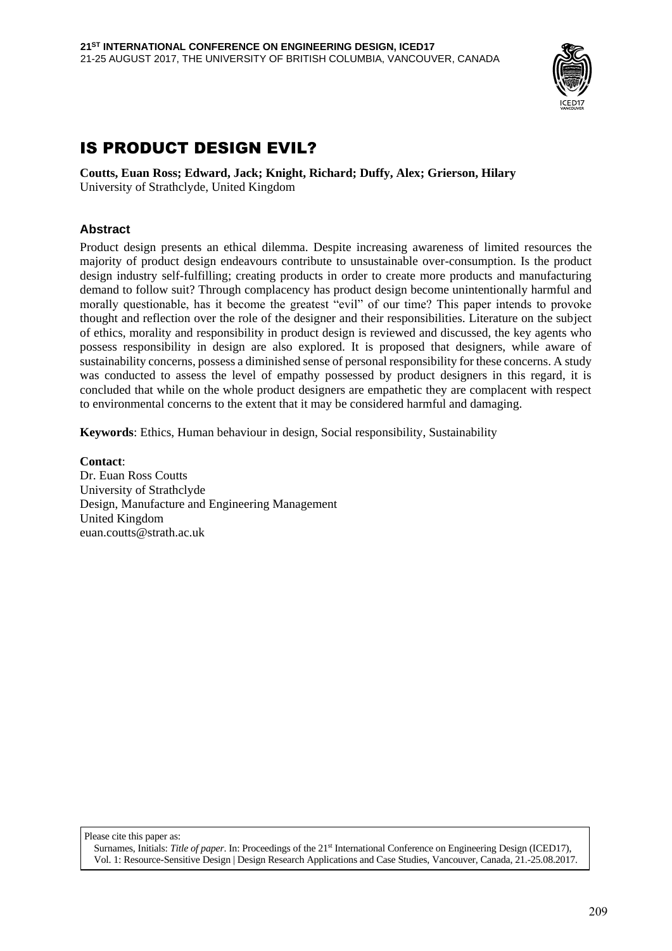

# IS PRODUCT DESIGN EVIL?

**Coutts, Euan Ross; Edward, Jack; Knight, Richard; Duffy, Alex; Grierson, Hilary**  University of Strathclyde, United Kingdom

#### **Abstract**

Product design presents an ethical dilemma. Despite increasing awareness of limited resources the majority of product design endeavours contribute to unsustainable over-consumption. Is the product design industry self-fulfilling; creating products in order to create more products and manufacturing demand to follow suit? Through complacency has product design become unintentionally harmful and morally questionable, has it become the greatest "evil" of our time? This paper intends to provoke thought and reflection over the role of the designer and their responsibilities. Literature on the subject of ethics, morality and responsibility in product design is reviewed and discussed, the key agents who possess responsibility in design are also explored. It is proposed that designers, while aware of sustainability concerns, possess a diminished sense of personal responsibility for these concerns. A study was conducted to assess the level of empathy possessed by product designers in this regard, it is concluded that while on the whole product designers are empathetic they are complacent with respect to environmental concerns to the extent that it may be considered harmful and damaging.

**Keywords**: Ethics, Human behaviour in design, Social responsibility, Sustainability

**Contact**: Dr. Euan Ross Coutts University of Strathclyde Design, Manufacture and Engineering Management United Kingdom euan.coutts@strath.ac.uk

Please cite this paper as:

Surnames, Initials: *Title of paper*. In: Proceedings of the 21st International Conference on Engineering Design (ICED17), Vol. 1: Resource-Sensitive Design | Design Research Applications and Case Studies, Vancouver, Canada, 21.-25.08.2017.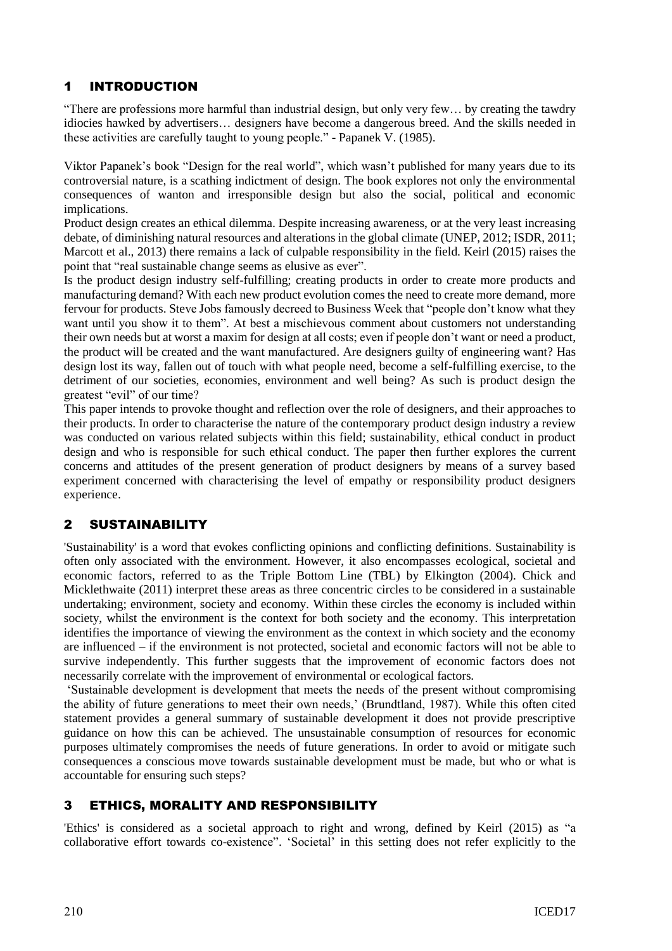# 1 INTRODUCTION

"There are professions more harmful than industrial design, but only very few… by creating the tawdry idiocies hawked by advertisers… designers have become a dangerous breed. And the skills needed in these activities are carefully taught to young people." - Papanek V. (1985).

Viktor Papanek's book "Design for the real world", which wasn't published for many years due to its controversial nature, is a scathing indictment of design. The book explores not only the environmental consequences of wanton and irresponsible design but also the social, political and economic implications.

Product design creates an ethical dilemma. Despite increasing awareness, or at the very least increasing debate, of diminishing natural resources and alterations in the global climate (UNEP, 2012; ISDR, 2011; Marcott et al., 2013) there remains a lack of culpable responsibility in the field. Keirl (2015) raises the point that "real sustainable change seems as elusive as ever".

Is the product design industry self-fulfilling; creating products in order to create more products and manufacturing demand? With each new product evolution comes the need to create more demand, more fervour for products. Steve Jobs famously decreed to Business Week that "people don't know what they want until you show it to them". At best a mischievous comment about customers not understanding their own needs but at worst a maxim for design at all costs; even if people don't want or need a product, the product will be created and the want manufactured. Are designers guilty of engineering want? Has design lost its way, fallen out of touch with what people need, become a self-fulfilling exercise, to the detriment of our societies, economies, environment and well being? As such is product design the greatest "evil" of our time?

This paper intends to provoke thought and reflection over the role of designers, and their approaches to their products. In order to characterise the nature of the contemporary product design industry a review was conducted on various related subjects within this field; sustainability, ethical conduct in product design and who is responsible for such ethical conduct. The paper then further explores the current concerns and attitudes of the present generation of product designers by means of a survey based experiment concerned with characterising the level of empathy or responsibility product designers experience.

### 2 SUSTAINABILITY

'Sustainability' is a word that evokes conflicting opinions and conflicting definitions. Sustainability is often only associated with the environment. However, it also encompasses ecological, societal and economic factors, referred to as the Triple Bottom Line (TBL) by Elkington (2004). Chick and Micklethwaite (2011) interpret these areas as three concentric circles to be considered in a sustainable undertaking; environment, society and economy. Within these circles the economy is included within society, whilst the environment is the context for both society and the economy. This interpretation identifies the importance of viewing the environment as the context in which society and the economy are influenced – if the environment is not protected, societal and economic factors will not be able to survive independently. This further suggests that the improvement of economic factors does not necessarily correlate with the improvement of environmental or ecological factors.

'Sustainable development is development that meets the needs of the present without compromising the ability of future generations to meet their own needs,' (Brundtland, 1987). While this often cited statement provides a general summary of sustainable development it does not provide prescriptive guidance on how this can be achieved. The unsustainable consumption of resources for economic purposes ultimately compromises the needs of future generations. In order to avoid or mitigate such consequences a conscious move towards sustainable development must be made, but who or what is accountable for ensuring such steps?

# 3 ETHICS, MORALITY AND RESPONSIBILITY

'Ethics' is considered as a societal approach to right and wrong, defined by Keirl (2015) as "a collaborative effort towards co-existence". 'Societal' in this setting does not refer explicitly to the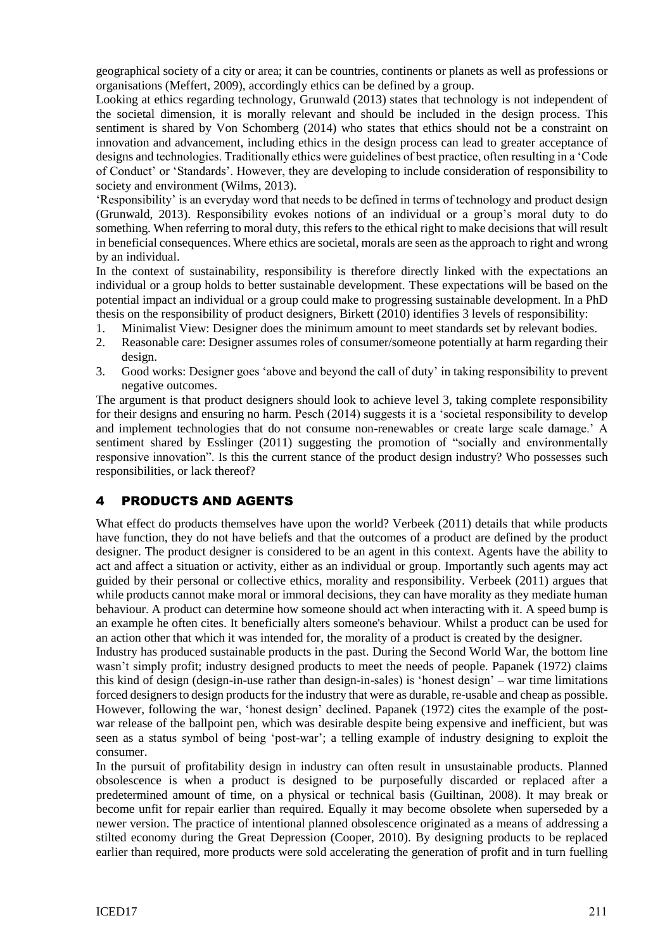geographical society of a city or area; it can be countries, continents or planets as well as professions or organisations (Meffert, 2009), accordingly ethics can be defined by a group.

Looking at ethics regarding technology, Grunwald (2013) states that technology is not independent of the societal dimension, it is morally relevant and should be included in the design process. This sentiment is shared by Von Schomberg (2014) who states that ethics should not be a constraint on innovation and advancement, including ethics in the design process can lead to greater acceptance of designs and technologies. Traditionally ethics were guidelines of best practice, often resulting in a 'Code of Conduct' or 'Standards'. However, they are developing to include consideration of responsibility to society and environment (Wilms, 2013).

'Responsibility' is an everyday word that needs to be defined in terms of technology and product design (Grunwald, 2013). Responsibility evokes notions of an individual or a group's moral duty to do something. When referring to moral duty, this refers to the ethical right to make decisions that will result in beneficial consequences. Where ethics are societal, morals are seen as the approach to right and wrong by an individual.

In the context of sustainability, responsibility is therefore directly linked with the expectations an individual or a group holds to better sustainable development. These expectations will be based on the potential impact an individual or a group could make to progressing sustainable development. In a PhD thesis on the responsibility of product designers, Birkett (2010) identifies 3 levels of responsibility:

- 1. Minimalist View: Designer does the minimum amount to meet standards set by relevant bodies.
- 2. Reasonable care: Designer assumes roles of consumer/someone potentially at harm regarding their design.
- 3. Good works: Designer goes 'above and beyond the call of duty' in taking responsibility to prevent negative outcomes.

The argument is that product designers should look to achieve level 3, taking complete responsibility for their designs and ensuring no harm. Pesch (2014) suggests it is a 'societal responsibility to develop and implement technologies that do not consume non-renewables or create large scale damage.' A sentiment shared by Esslinger (2011) suggesting the promotion of "socially and environmentally responsive innovation". Is this the current stance of the product design industry? Who possesses such responsibilities, or lack thereof?

#### 4 PRODUCTS AND AGENTS

What effect do products themselves have upon the world? Verbeek (2011) details that while products have function, they do not have beliefs and that the outcomes of a product are defined by the product designer. The product designer is considered to be an agent in this context. Agents have the ability to act and affect a situation or activity, either as an individual or group. Importantly such agents may act guided by their personal or collective ethics, morality and responsibility. Verbeek (2011) argues that while products cannot make moral or immoral decisions, they can have morality as they mediate human behaviour. A product can determine how someone should act when interacting with it. A speed bump is an example he often cites. It beneficially alters someone's behaviour. Whilst a product can be used for an action other that which it was intended for, the morality of a product is created by the designer.

Industry has produced sustainable products in the past. During the Second World War, the bottom line wasn't simply profit; industry designed products to meet the needs of people. Papanek (1972) claims this kind of design (design-in-use rather than design-in-sales) is 'honest design' – war time limitations forced designers to design products for the industry that were as durable, re-usable and cheap as possible. However, following the war, 'honest design' declined. Papanek (1972) cites the example of the postwar release of the ballpoint pen, which was desirable despite being expensive and inefficient, but was seen as a status symbol of being 'post-war'; a telling example of industry designing to exploit the consumer.

In the pursuit of profitability design in industry can often result in unsustainable products. Planned obsolescence is when a product is designed to be purposefully discarded or replaced after a predetermined amount of time, on a physical or technical basis (Guiltinan, 2008). It may break or become unfit for repair earlier than required. Equally it may become obsolete when superseded by a newer version. The practice of intentional planned obsolescence originated as a means of addressing a stilted economy during the Great Depression (Cooper, 2010). By designing products to be replaced earlier than required, more products were sold accelerating the generation of profit and in turn fuelling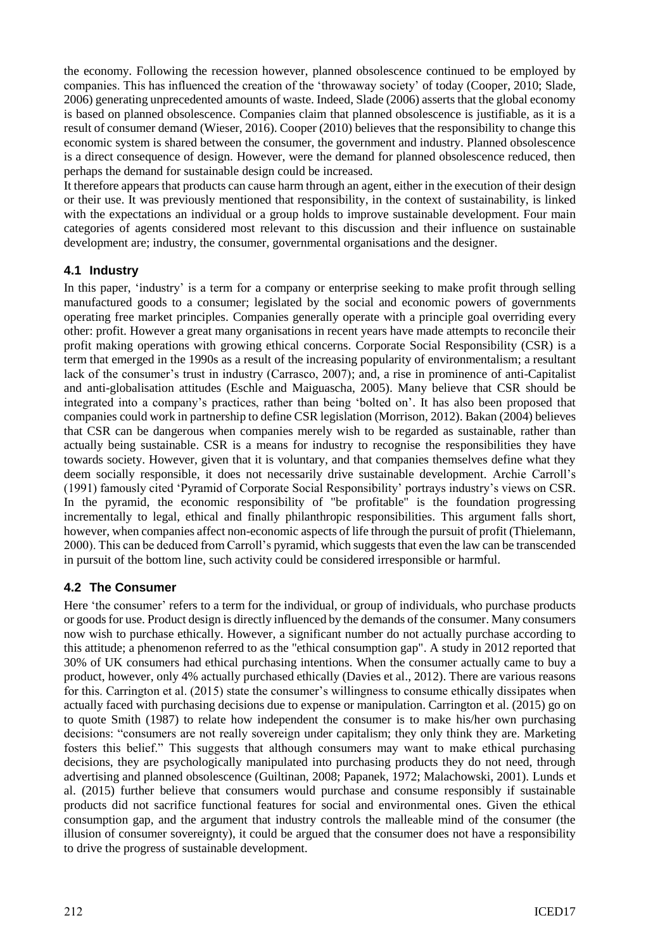the economy. Following the recession however, planned obsolescence continued to be employed by companies. This has influenced the creation of the 'throwaway society' of today (Cooper, 2010; Slade, 2006) generating unprecedented amounts of waste. Indeed, Slade (2006) asserts that the global economy is based on planned obsolescence. Companies claim that planned obsolescence is justifiable, as it is a result of consumer demand (Wieser, 2016). Cooper (2010) believes that the responsibility to change this economic system is shared between the consumer, the government and industry. Planned obsolescence is a direct consequence of design. However, were the demand for planned obsolescence reduced, then perhaps the demand for sustainable design could be increased.

It therefore appears that products can cause harm through an agent, either in the execution of their design or their use. It was previously mentioned that responsibility, in the context of sustainability, is linked with the expectations an individual or a group holds to improve sustainable development. Four main categories of agents considered most relevant to this discussion and their influence on sustainable development are; industry, the consumer, governmental organisations and the designer.

#### **4.1 Industry**

In this paper, 'industry' is a term for a company or enterprise seeking to make profit through selling manufactured goods to a consumer; legislated by the social and economic powers of governments operating free market principles. Companies generally operate with a principle goal overriding every other: profit. However a great many organisations in recent years have made attempts to reconcile their profit making operations with growing ethical concerns. Corporate Social Responsibility (CSR) is a term that emerged in the 1990s as a result of the increasing popularity of environmentalism; a resultant lack of the consumer's trust in industry (Carrasco, 2007); and, a rise in prominence of anti-Capitalist and anti-globalisation attitudes (Eschle and Maiguascha, 2005). Many believe that CSR should be integrated into a company's practices, rather than being 'bolted on'. It has also been proposed that companies could work in partnership to define CSR legislation (Morrison, 2012). Bakan (2004) believes that CSR can be dangerous when companies merely wish to be regarded as sustainable, rather than actually being sustainable. CSR is a means for industry to recognise the responsibilities they have towards society. However, given that it is voluntary, and that companies themselves define what they deem socially responsible, it does not necessarily drive sustainable development. Archie Carroll's (1991) famously cited 'Pyramid of Corporate Social Responsibility' portrays industry's views on CSR. In the pyramid, the economic responsibility of "be profitable" is the foundation progressing incrementally to legal, ethical and finally philanthropic responsibilities. This argument falls short, however, when companies affect non-economic aspects of life through the pursuit of profit (Thielemann, 2000). This can be deduced from Carroll's pyramid, which suggests that even the law can be transcended in pursuit of the bottom line, such activity could be considered irresponsible or harmful.

### **4.2 The Consumer**

Here 'the consumer' refers to a term for the individual, or group of individuals, who purchase products or goods for use. Product design is directly influenced by the demands of the consumer. Many consumers now wish to purchase ethically. However, a significant number do not actually purchase according to this attitude; a phenomenon referred to as the "ethical consumption gap". A study in 2012 reported that 30% of UK consumers had ethical purchasing intentions. When the consumer actually came to buy a product, however, only 4% actually purchased ethically (Davies et al., 2012). There are various reasons for this. Carrington et al. (2015) state the consumer's willingness to consume ethically dissipates when actually faced with purchasing decisions due to expense or manipulation. Carrington et al. (2015) go on to quote Smith (1987) to relate how independent the consumer is to make his/her own purchasing decisions: "consumers are not really sovereign under capitalism; they only think they are. Marketing fosters this belief." This suggests that although consumers may want to make ethical purchasing decisions, they are psychologically manipulated into purchasing products they do not need, through advertising and planned obsolescence (Guiltinan, 2008; Papanek, 1972; Malachowski, 2001). Lunds et al. (2015) further believe that consumers would purchase and consume responsibly if sustainable products did not sacrifice functional features for social and environmental ones. Given the ethical consumption gap, and the argument that industry controls the malleable mind of the consumer (the illusion of consumer sovereignty), it could be argued that the consumer does not have a responsibility to drive the progress of sustainable development.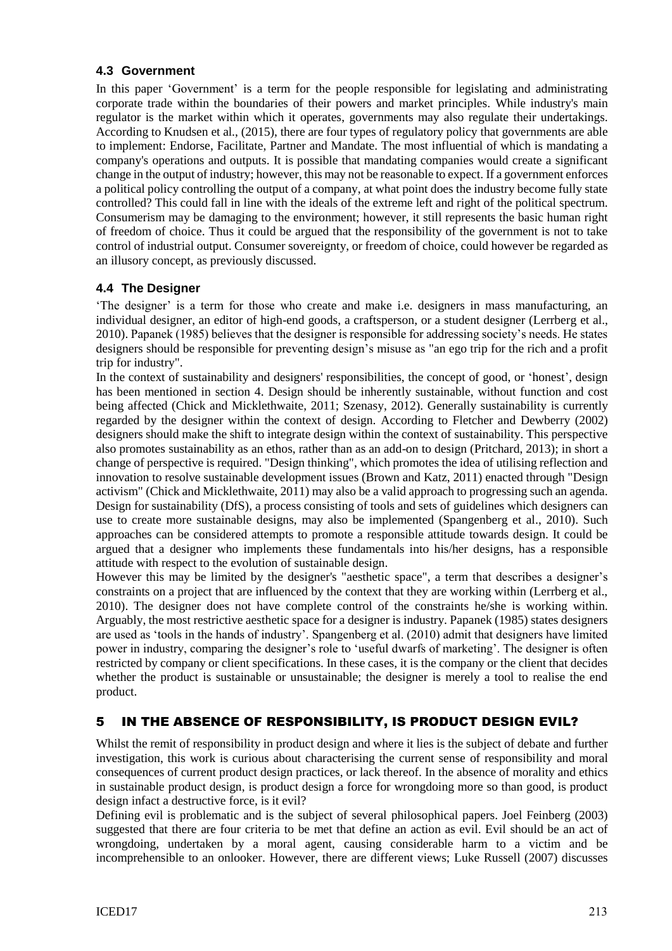#### **4.3 Government**

In this paper 'Government' is a term for the people responsible for legislating and administrating corporate trade within the boundaries of their powers and market principles. While industry's main regulator is the market within which it operates, governments may also regulate their undertakings. According to Knudsen et al., (2015), there are four types of regulatory policy that governments are able to implement: Endorse, Facilitate, Partner and Mandate. The most influential of which is mandating a company's operations and outputs. It is possible that mandating companies would create a significant change in the output of industry; however, this may not be reasonable to expect. If a government enforces a political policy controlling the output of a company, at what point does the industry become fully state controlled? This could fall in line with the ideals of the extreme left and right of the political spectrum. Consumerism may be damaging to the environment; however, it still represents the basic human right of freedom of choice. Thus it could be argued that the responsibility of the government is not to take control of industrial output. Consumer sovereignty, or freedom of choice, could however be regarded as an illusory concept, as previously discussed.

### **4.4 The Designer**

'The designer' is a term for those who create and make i.e. designers in mass manufacturing, an individual designer, an editor of high-end goods, a craftsperson, or a student designer (Lerrberg et al., 2010). Papanek (1985) believes that the designer is responsible for addressing society's needs. He states designers should be responsible for preventing design's misuse as "an ego trip for the rich and a profit trip for industry".

In the context of sustainability and designers' responsibilities, the concept of good, or 'honest', design has been mentioned in section 4. Design should be inherently sustainable, without function and cost being affected (Chick and Micklethwaite, 2011; Szenasy, 2012). Generally sustainability is currently regarded by the designer within the context of design. According to Fletcher and Dewberry (2002) designers should make the shift to integrate design within the context of sustainability. This perspective also promotes sustainability as an ethos, rather than as an add-on to design (Pritchard, 2013); in short a change of perspective is required. "Design thinking", which promotes the idea of utilising reflection and innovation to resolve sustainable development issues (Brown and Katz, 2011) enacted through "Design activism" (Chick and Micklethwaite, 2011) may also be a valid approach to progressing such an agenda. Design for sustainability (DfS), a process consisting of tools and sets of guidelines which designers can use to create more sustainable designs, may also be implemented (Spangenberg et al., 2010). Such approaches can be considered attempts to promote a responsible attitude towards design. It could be argued that a designer who implements these fundamentals into his/her designs, has a responsible attitude with respect to the evolution of sustainable design.

However this may be limited by the designer's "aesthetic space", a term that describes a designer's constraints on a project that are influenced by the context that they are working within (Lerrberg et al., 2010). The designer does not have complete control of the constraints he/she is working within. Arguably, the most restrictive aesthetic space for a designer is industry. Papanek (1985) states designers are used as 'tools in the hands of industry'. Spangenberg et al. (2010) admit that designers have limited power in industry, comparing the designer's role to 'useful dwarfs of marketing'. The designer is often restricted by company or client specifications. In these cases, it is the company or the client that decides whether the product is sustainable or unsustainable; the designer is merely a tool to realise the end product.

# 5 IN THE ABSENCE OF RESPONSIBILITY, IS PRODUCT DESIGN EVIL?

Whilst the remit of responsibility in product design and where it lies is the subject of debate and further investigation, this work is curious about characterising the current sense of responsibility and moral consequences of current product design practices, or lack thereof. In the absence of morality and ethics in sustainable product design, is product design a force for wrongdoing more so than good, is product design infact a destructive force, is it evil?

Defining evil is problematic and is the subject of several philosophical papers. Joel Feinberg (2003) suggested that there are four criteria to be met that define an action as evil. Evil should be an act of wrongdoing, undertaken by a moral agent, causing considerable harm to a victim and be incomprehensible to an onlooker. However, there are different views; Luke Russell (2007) discusses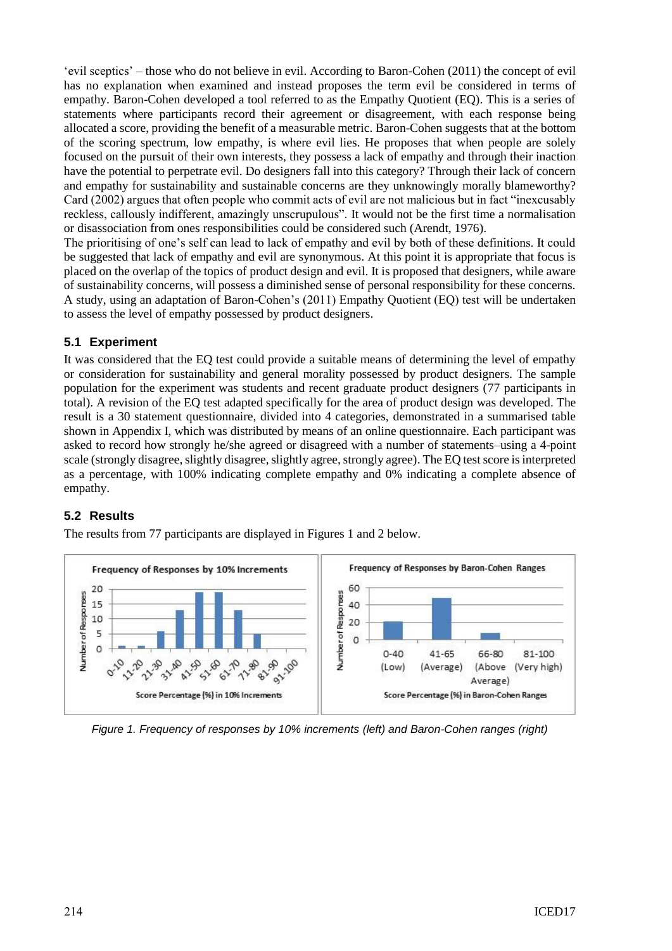'evil sceptics' – those who do not believe in evil. According to Baron-Cohen (2011) the concept of evil has no explanation when examined and instead proposes the term evil be considered in terms of empathy. Baron-Cohen developed a tool referred to as the Empathy Quotient (EQ). This is a series of statements where participants record their agreement or disagreement, with each response being allocated a score, providing the benefit of a measurable metric. Baron-Cohen suggests that at the bottom of the scoring spectrum, low empathy, is where evil lies. He proposes that when people are solely focused on the pursuit of their own interests, they possess a lack of empathy and through their inaction have the potential to perpetrate evil. Do designers fall into this category? Through their lack of concern and empathy for sustainability and sustainable concerns are they unknowingly morally blameworthy? Card (2002) argues that often people who commit acts of evil are not malicious but in fact "inexcusably reckless, callously indifferent, amazingly unscrupulous". It would not be the first time a normalisation or disassociation from ones responsibilities could be considered such (Arendt, 1976).

The prioritising of one's self can lead to lack of empathy and evil by both of these definitions. It could be suggested that lack of empathy and evil are synonymous. At this point it is appropriate that focus is placed on the overlap of the topics of product design and evil. It is proposed that designers, while aware of sustainability concerns, will possess a diminished sense of personal responsibility for these concerns. A study, using an adaptation of Baron-Cohen's (2011) Empathy Quotient (EQ) test will be undertaken to assess the level of empathy possessed by product designers.

#### **5.1 Experiment**

It was considered that the EQ test could provide a suitable means of determining the level of empathy or consideration for sustainability and general morality possessed by product designers. The sample population for the experiment was students and recent graduate product designers (77 participants in total). A revision of the EQ test adapted specifically for the area of product design was developed. The result is a 30 statement questionnaire, divided into 4 categories, demonstrated in a summarised table shown in Appendix I, which was distributed by means of an online questionnaire. Each participant was asked to record how strongly he/she agreed or disagreed with a number of statements–using a 4-point scale (strongly disagree, slightly disagree, slightly agree, strongly agree). The EQ test score is interpreted as a percentage, with 100% indicating complete empathy and 0% indicating a complete absence of empathy.

### **5.2 Results**

The results from 77 participants are displayed in Figures 1 and 2 below.



*Figure 1. Frequency of responses by 10% increments (left) and Baron-Cohen ranges (right)*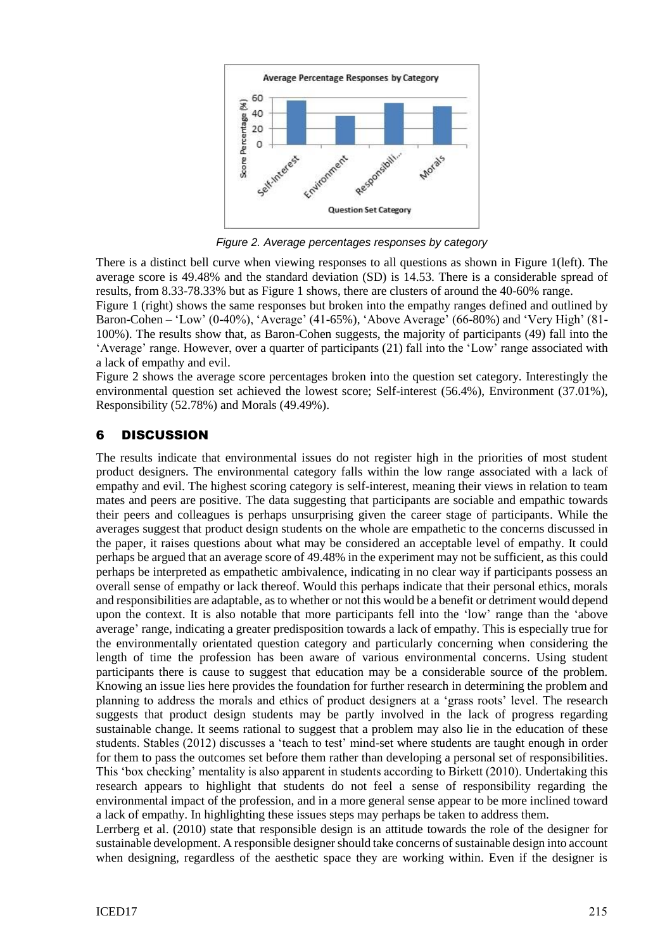

*Figure 2. Average percentages responses by category*

There is a distinct bell curve when viewing responses to all questions as shown in Figure 1(left). The average score is 49.48% and the standard deviation (SD) is 14.53. There is a considerable spread of results, from 8.33-78.33% but as Figure 1 shows, there are clusters of around the 40-60% range.

Figure 1 (right) shows the same responses but broken into the empathy ranges defined and outlined by Baron-Cohen – 'Low' (0-40%), 'Average' (41-65%), 'Above Average' (66-80%) and 'Very High' (81- 100%). The results show that, as Baron-Cohen suggests, the majority of participants (49) fall into the 'Average' range. However, over a quarter of participants (21) fall into the 'Low' range associated with a lack of empathy and evil.

Figure 2 shows the average score percentages broken into the question set category. Interestingly the environmental question set achieved the lowest score; Self-interest (56.4%), Environment (37.01%), Responsibility (52.78%) and Morals (49.49%).

# 6 DISCUSSION

The results indicate that environmental issues do not register high in the priorities of most student product designers. The environmental category falls within the low range associated with a lack of empathy and evil. The highest scoring category is self-interest, meaning their views in relation to team mates and peers are positive. The data suggesting that participants are sociable and empathic towards their peers and colleagues is perhaps unsurprising given the career stage of participants. While the averages suggest that product design students on the whole are empathetic to the concerns discussed in the paper, it raises questions about what may be considered an acceptable level of empathy. It could perhaps be argued that an average score of 49.48% in the experiment may not be sufficient, as this could perhaps be interpreted as empathetic ambivalence, indicating in no clear way if participants possess an overall sense of empathy or lack thereof. Would this perhaps indicate that their personal ethics, morals and responsibilities are adaptable, as to whether or not this would be a benefit or detriment would depend upon the context. It is also notable that more participants fell into the 'low' range than the 'above average' range, indicating a greater predisposition towards a lack of empathy. This is especially true for the environmentally orientated question category and particularly concerning when considering the length of time the profession has been aware of various environmental concerns. Using student participants there is cause to suggest that education may be a considerable source of the problem. Knowing an issue lies here provides the foundation for further research in determining the problem and planning to address the morals and ethics of product designers at a 'grass roots' level. The research suggests that product design students may be partly involved in the lack of progress regarding sustainable change. It seems rational to suggest that a problem may also lie in the education of these students. Stables (2012) discusses a 'teach to test' mind-set where students are taught enough in order for them to pass the outcomes set before them rather than developing a personal set of responsibilities. This 'box checking' mentality is also apparent in students according to Birkett (2010). Undertaking this research appears to highlight that students do not feel a sense of responsibility regarding the environmental impact of the profession, and in a more general sense appear to be more inclined toward a lack of empathy. In highlighting these issues steps may perhaps be taken to address them.

Lerrberg et al. (2010) state that responsible design is an attitude towards the role of the designer for sustainable development. A responsible designer should take concerns of sustainable design into account when designing, regardless of the aesthetic space they are working within. Even if the designer is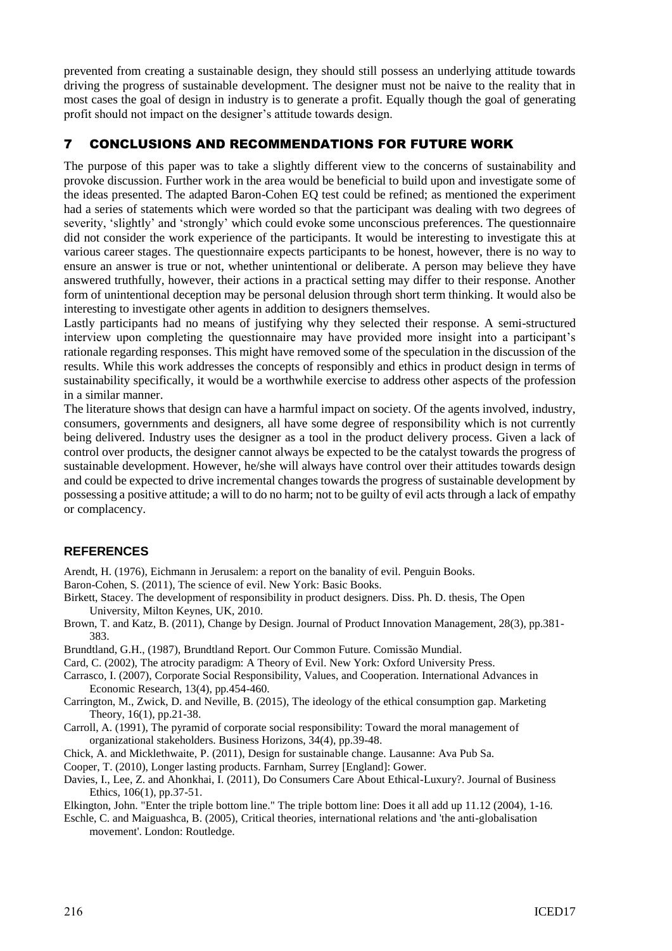prevented from creating a sustainable design, they should still possess an underlying attitude towards driving the progress of sustainable development. The designer must not be naive to the reality that in most cases the goal of design in industry is to generate a profit. Equally though the goal of generating profit should not impact on the designer's attitude towards design.

## 7 CONCLUSIONS AND RECOMMENDATIONS FOR FUTURE WORK

The purpose of this paper was to take a slightly different view to the concerns of sustainability and provoke discussion. Further work in the area would be beneficial to build upon and investigate some of the ideas presented. The adapted Baron-Cohen EQ test could be refined; as mentioned the experiment had a series of statements which were worded so that the participant was dealing with two degrees of severity, 'slightly' and 'strongly' which could evoke some unconscious preferences. The questionnaire did not consider the work experience of the participants. It would be interesting to investigate this at various career stages. The questionnaire expects participants to be honest, however, there is no way to ensure an answer is true or not, whether unintentional or deliberate. A person may believe they have answered truthfully, however, their actions in a practical setting may differ to their response. Another form of unintentional deception may be personal delusion through short term thinking. It would also be interesting to investigate other agents in addition to designers themselves.

Lastly participants had no means of justifying why they selected their response. A semi-structured interview upon completing the questionnaire may have provided more insight into a participant's rationale regarding responses. This might have removed some of the speculation in the discussion of the results. While this work addresses the concepts of responsibly and ethics in product design in terms of sustainability specifically, it would be a worthwhile exercise to address other aspects of the profession in a similar manner.

The literature shows that design can have a harmful impact on society. Of the agents involved, industry, consumers, governments and designers, all have some degree of responsibility which is not currently being delivered. Industry uses the designer as a tool in the product delivery process. Given a lack of control over products, the designer cannot always be expected to be the catalyst towards the progress of sustainable development. However, he/she will always have control over their attitudes towards design and could be expected to drive incremental changes towards the progress of sustainable development by possessing a positive attitude; a will to do no harm; not to be guilty of evil acts through a lack of empathy or complacency.

### **REFERENCES**

Arendt, H. (1976), Eichmann in Jerusalem: a report on the banality of evil. Penguin Books.

- Baron-Cohen, S. (2011), The science of evil. New York: Basic Books.
- Birkett, Stacey. The development of responsibility in product designers. Diss. Ph. D. thesis, The Open University, Milton Keynes, UK, 2010.
- Brown, T. and Katz, B. (2011), Change by Design. Journal of Product Innovation Management, 28(3), pp.381- 383.
- Brundtland, G.H., (1987), Brundtland Report. Our Common Future. Comissão Mundial.
- Card, C. (2002), The atrocity paradigm: A Theory of Evil. New York: Oxford University Press.
- Carrasco, I. (2007), Corporate Social Responsibility, Values, and Cooperation. International Advances in Economic Research, 13(4), pp.454-460.
- Carrington, M., Zwick, D. and Neville, B. (2015), The ideology of the ethical consumption gap. Marketing Theory, 16(1), pp.21-38.
- Carroll, A. (1991), The pyramid of corporate social responsibility: Toward the moral management of organizational stakeholders. Business Horizons, 34(4), pp.39-48.
- Chick, A. and Micklethwaite, P. (2011), Design for sustainable change. Lausanne: Ava Pub Sa.
- Cooper, T. (2010), Longer lasting products. Farnham, Surrey [England]: Gower.
- Davies, I., Lee, Z. and Ahonkhai, I. (2011), Do Consumers Care About Ethical-Luxury?. Journal of Business Ethics, 106(1), pp.37-51.

Elkington, John. "Enter the triple bottom line." The triple bottom line: Does it all add up 11.12 (2004), 1-16.

Eschle, C. and Maiguashca, B. (2005), Critical theories, international relations and 'the anti-globalisation movement'. London: Routledge.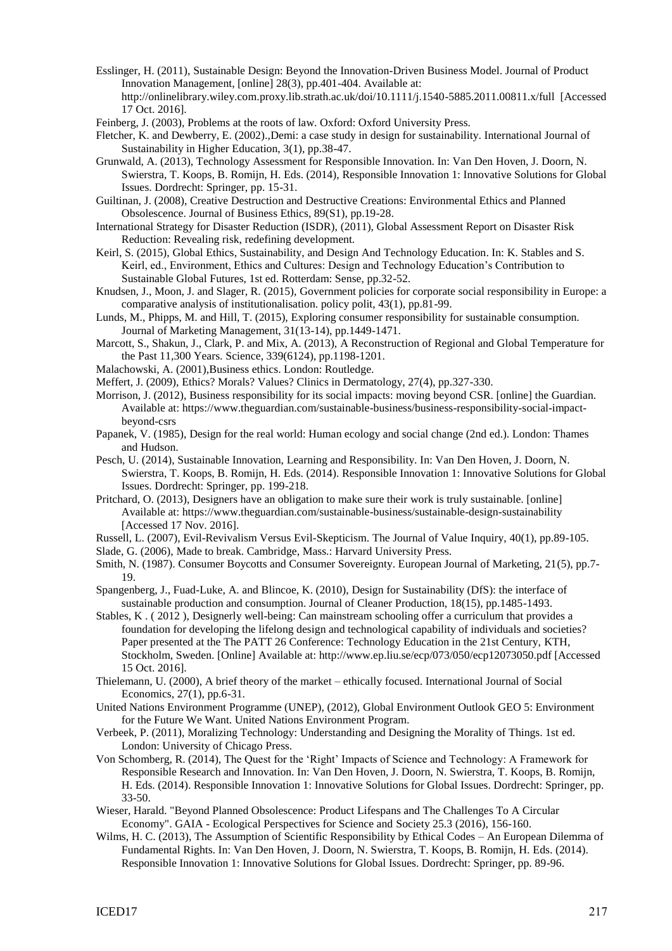- Esslinger, H. (2011), Sustainable Design: Beyond the Innovation-Driven Business Model. Journal of Product Innovation Management, [online] 28(3), pp.401-404. Available at: http://onlinelibrary.wiley.com.proxy.lib.strath.ac.uk/doi/10.1111/j.1540-5885.2011.00811.x/full [Accessed 17 Oct. 2016].
- Feinberg, J. (2003), Problems at the roots of law. Oxford: Oxford University Press.
- Fletcher, K. and Dewberry, E. (2002).,Demi: a case study in design for sustainability. International Journal of Sustainability in Higher Education, 3(1), pp.38-47.
- Grunwald, A. (2013), Technology Assessment for Responsible Innovation. In: Van Den Hoven, J. Doorn, N. Swierstra, T. Koops, B. Romijn, H. Eds. (2014), Responsible Innovation 1: Innovative Solutions for Global Issues. Dordrecht: Springer, pp. 15-31.
- Guiltinan, J. (2008), Creative Destruction and Destructive Creations: Environmental Ethics and Planned Obsolescence. Journal of Business Ethics, 89(S1), pp.19-28.
- International Strategy for Disaster Reduction (ISDR), (2011), Global Assessment Report on Disaster Risk Reduction: Revealing risk, redefining development.
- Keirl, S. (2015), Global Ethics, Sustainability, and Design And Technology Education. In: K. Stables and S. Keirl, ed., Environment, Ethics and Cultures: Design and Technology Education's Contribution to Sustainable Global Futures, 1st ed. Rotterdam: Sense, pp.32-52.
- Knudsen, J., Moon, J. and Slager, R. (2015), Government policies for corporate social responsibility in Europe: a comparative analysis of institutionalisation. policy polit, 43(1), pp.81-99.
- Lunds, M., Phipps, M. and Hill, T. (2015), Exploring consumer responsibility for sustainable consumption. Journal of Marketing Management, 31(13-14), pp.1449-1471.
- Marcott, S., Shakun, J., Clark, P. and Mix, A. (2013), A Reconstruction of Regional and Global Temperature for the Past 11,300 Years. Science, 339(6124), pp.1198-1201.
- Malachowski, A. (2001),Business ethics. London: Routledge.
- Meffert, J. (2009), Ethics? Morals? Values? Clinics in Dermatology, 27(4), pp.327-330.
- Morrison, J. (2012), Business responsibility for its social impacts: moving beyond CSR. [online] the Guardian. Available at: https://www.theguardian.com/sustainable-business/business-responsibility-social-impactbeyond-csrs
- Papanek, V. (1985), Design for the real world: Human ecology and social change (2nd ed.). London: Thames and Hudson.
- Pesch, U. (2014), Sustainable Innovation, Learning and Responsibility. In: Van Den Hoven, J. Doorn, N. Swierstra, T. Koops, B. Romijn, H. Eds. (2014). Responsible Innovation 1: Innovative Solutions for Global Issues. Dordrecht: Springer, pp. 199-218.
- Pritchard, O. (2013), Designers have an obligation to make sure their work is truly sustainable. [online] Available at: https://www.theguardian.com/sustainable-business/sustainable-design-sustainability [Accessed 17 Nov. 2016].
- Russell, L. (2007), Evil-Revivalism Versus Evil-Skepticism. The Journal of Value Inquiry, 40(1), pp.89-105.
- Slade, G. (2006), Made to break. Cambridge, Mass.: Harvard University Press.
- Smith, N. (1987). Consumer Boycotts and Consumer Sovereignty. European Journal of Marketing, 21(5), pp.7- 19.
- Spangenberg, J., Fuad-Luke, A. and Blincoe, K. (2010), Design for Sustainability (DfS): the interface of sustainable production and consumption. Journal of Cleaner Production, 18(15), pp.1485-1493.
- Stables, K . ( 2012 ), Designerly well-being: Can mainstream schooling offer a curriculum that provides a foundation for developing the lifelong design and technological capability of individuals and societies? Paper presented at the The PATT 26 Conference: Technology Education in the 21st Century, KTH, Stockholm, Sweden. [Online] Available at: http://www.ep.liu.se/ecp/073/050/ecp12073050.pdf [Accessed 15 Oct. 2016].
- Thielemann, U. (2000), A brief theory of the market ethically focused. International Journal of Social Economics, 27(1), pp.6-31.
- United Nations Environment Programme (UNEP), (2012), Global Environment Outlook GEO 5: Environment for the Future We Want. United Nations Environment Program.
- Verbeek, P. (2011), Moralizing Technology: Understanding and Designing the Morality of Things. 1st ed. London: University of Chicago Press.
- Von Schomberg, R. (2014), The Quest for the 'Right' Impacts of Science and Technology: A Framework for Responsible Research and Innovation. In: Van Den Hoven, J. Doorn, N. Swierstra, T. Koops, B. Romijn, H. Eds. (2014). Responsible Innovation 1: Innovative Solutions for Global Issues. Dordrecht: Springer, pp. 33-50.
- Wieser, Harald. "Beyond Planned Obsolescence: Product Lifespans and The Challenges To A Circular Economy". GAIA - Ecological Perspectives for Science and Society 25.3 (2016), 156-160.
- Wilms, H. C. (2013), The Assumption of Scientific Responsibility by Ethical Codes An European Dilemma of Fundamental Rights. In: Van Den Hoven, J. Doorn, N. Swierstra, T. Koops, B. Romijn, H. Eds. (2014). Responsible Innovation 1: Innovative Solutions for Global Issues. Dordrecht: Springer, pp. 89-96.